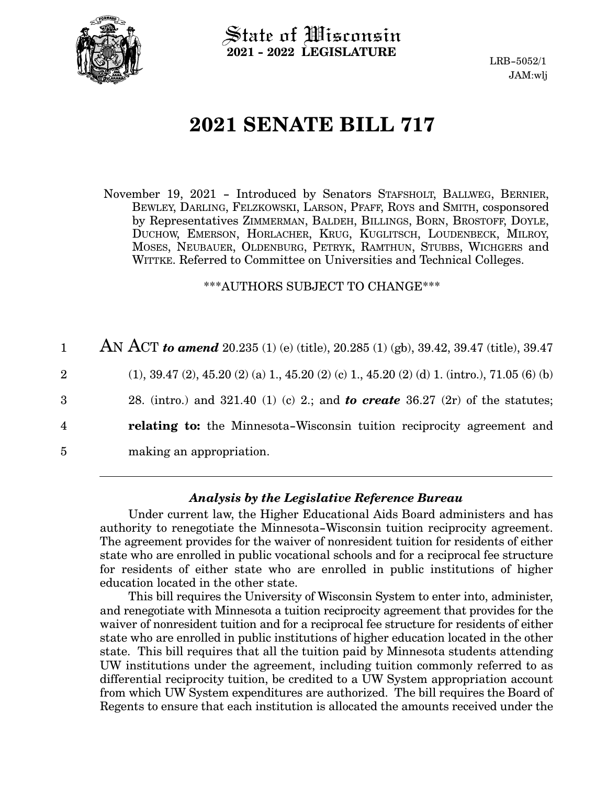

 $\operatorname{\mathsf{State}}$  of Wisconsin **2021 - 2022 LEGISLATURE**

LRB-5052/1 JAM:wlj

# **2021 SENATE BILL 717**

November 19, 2021 - Introduced by Senators STAFSHOLT, BALLWEG, BERNIER, BEWLEY, DARLING, FELZKOWSKI, LARSON, PFAFF, ROYS and SMITH, cosponsored by Representatives ZIMMERMAN, BALDEH, BILLINGS, BORN, BROSTOFF, DOYLE, DUCHOW, EMERSON, HORLACHER, KRUG, KUGLITSCH, LOUDENBECK, MILROY, MOSES, NEUBAUER, OLDENBURG, PETRYK, RAMTHUN, STUBBS, WICHGERS and WITTKE. Referred to Committee on Universities and Technical Colleges.

\*\*\*AUTHORS SUBJECT TO CHANGE\*\*\*

AN ACT *to amend* 20.235 (1) (e) (title), 20.285 (1) (gb), 39.42, 39.47 (title), 39.47  $(1), 39.47 (2), 45.20 (2) (a) 1., 45.20 (2) (c) 1., 45.20 (2) (d) 1. (intro.), 71.05 (6) (b)$ 28. (intro.) and 321.40 (1) (c) 2.; and *to create* 36.27 (2r) of the statutes; **relating to:** the Minnesota-Wisconsin tuition reciprocity agreement and making an appropriation. 1 2 3 4 5

#### *Analysis by the Legislative Reference Bureau*

Under current law, the Higher Educational Aids Board administers and has authority to renegotiate the Minnesota-Wisconsin tuition reciprocity agreement. The agreement provides for the waiver of nonresident tuition for residents of either state who are enrolled in public vocational schools and for a reciprocal fee structure for residents of either state who are enrolled in public institutions of higher education located in the other state.

This bill requires the University of Wisconsin System to enter into, administer, and renegotiate with Minnesota a tuition reciprocity agreement that provides for the waiver of nonresident tuition and for a reciprocal fee structure for residents of either state who are enrolled in public institutions of higher education located in the other state. This bill requires that all the tuition paid by Minnesota students attending UW institutions under the agreement, including tuition commonly referred to as differential reciprocity tuition, be credited to a UW System appropriation account from which UW System expenditures are authorized. The bill requires the Board of Regents to ensure that each institution is allocated the amounts received under the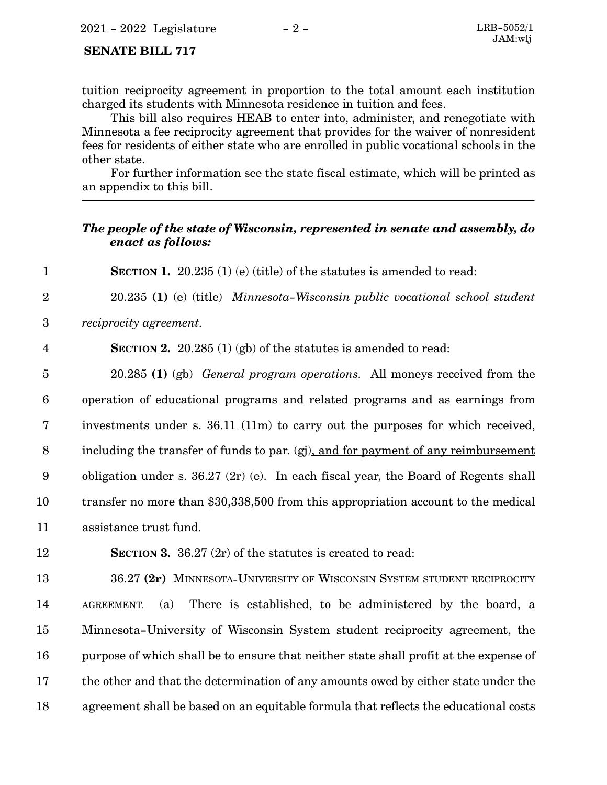#### **SENATE BILL 717**

tuition reciprocity agreement in proportion to the total amount each institution charged its students with Minnesota residence in tuition and fees.

This bill also requires HEAB to enter into, administer, and renegotiate with Minnesota a fee reciprocity agreement that provides for the waiver of nonresident fees for residents of either state who are enrolled in public vocational schools in the other state.

For further information see the state fiscal estimate, which will be printed as an appendix to this bill.

#### *The people of the state of Wisconsin, represented in senate and assembly, do enact as follows:*

**SECTION 1.** 20.235 (1) (e) (title) of the statutes is amended to read: 1

20.235 **(1)** (e) (title) *Minnesota-Wisconsin public vocational school student* 2

*reciprocity agreement.* 3

4

**SECTION 2.** 20.285 (1) (gb) of the statutes is amended to read:

20.285 **(1)** (gb) *General program operations.* All moneys received from the operation of educational programs and related programs and as earnings from investments under s. 36.11 (11m) to carry out the purposes for which received, including the transfer of funds to par. (gj), and for payment of any reimbursement obligation under s. 36.27 (2r) (e). In each fiscal year, the Board of Regents shall transfer no more than \$30,338,500 from this appropriation account to the medical assistance trust fund. 5 6 7 8 9 10 11

**SECTION 3.** 36.27 (2r) of the statutes is created to read: 12

36.27 **(2r)** MINNESOTA-UNIVERSITY OF WISCONSIN SYSTEM STUDENT RECIPROCITY AGREEMENT. (a) There is established, to be administered by the board, a Minnesota-University of Wisconsin System student reciprocity agreement, the purpose of which shall be to ensure that neither state shall profit at the expense of the other and that the determination of any amounts owed by either state under the agreement shall be based on an equitable formula that reflects the educational costs 13 14 15 16 17 18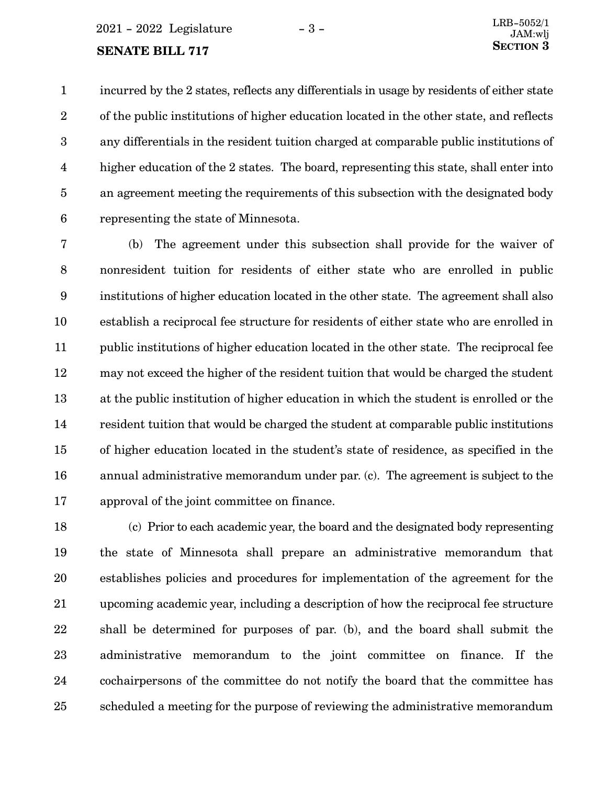### $2021 - 2022$  Legislature  $-3 -$

# **SENATE BILL 717** SECTION 3

incurred by the 2 states, reflects any differentials in usage by residents of either state of the public institutions of higher education located in the other state, and reflects any differentials in the resident tuition charged at comparable public institutions of higher education of the 2 states. The board, representing this state, shall enter into an agreement meeting the requirements of this subsection with the designated body representing the state of Minnesota. 1 2 3 4 5 6

(b) The agreement under this subsection shall provide for the waiver of nonresident tuition for residents of either state who are enrolled in public institutions of higher education located in the other state. The agreement shall also establish a reciprocal fee structure for residents of either state who are enrolled in public institutions of higher education located in the other state. The reciprocal fee may not exceed the higher of the resident tuition that would be charged the student at the public institution of higher education in which the student is enrolled or the resident tuition that would be charged the student at comparable public institutions of higher education located in the student's state of residence, as specified in the annual administrative memorandum under par. (c). The agreement is subject to the approval of the joint committee on finance. 7 8 9 10 11 12 13 14 15 16 17

(c) Prior to each academic year, the board and the designated body representing the state of Minnesota shall prepare an administrative memorandum that establishes policies and procedures for implementation of the agreement for the upcoming academic year, including a description of how the reciprocal fee structure shall be determined for purposes of par. (b), and the board shall submit the administrative memorandum to the joint committee on finance. If the cochairpersons of the committee do not notify the board that the committee has scheduled a meeting for the purpose of reviewing the administrative memorandum 18 19 20 21 22 23 24 25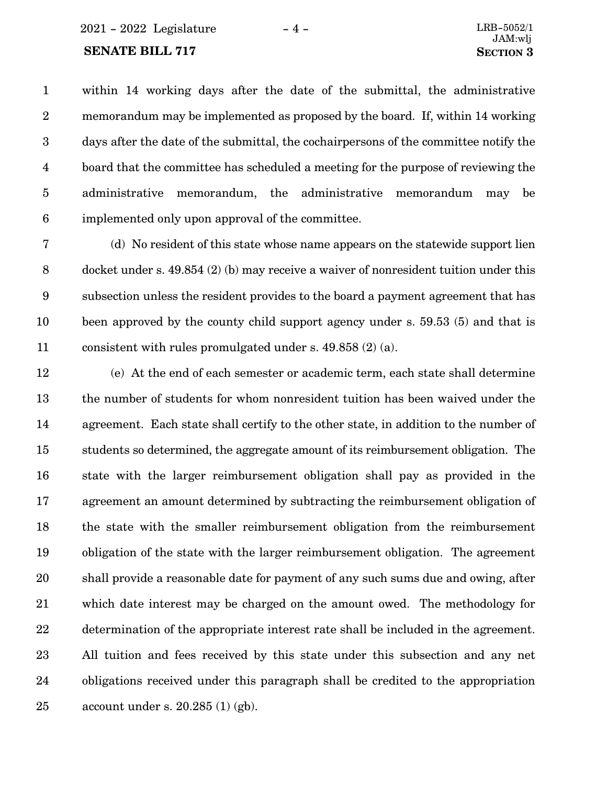#### **SENATE BILL 717 SECTION** 3

within 14 working days after the date of the submittal, the administrative memorandum may be implemented as proposed by the board. If, within 14 working days after the date of the submittal, the cochairpersons of the committee notify the board that the committee has scheduled a meeting for the purpose of reviewing the administrative memorandum, the administrative memorandum may be implemented only upon approval of the committee. 1 2 3 4 5 6

(d) No resident of this state whose name appears on the statewide support lien docket under s. 49.854 (2) (b) may receive a waiver of nonresident tuition under this subsection unless the resident provides to the board a payment agreement that has been approved by the county child support agency under s. 59.53 (5) and that is consistent with rules promulgated under s. 49.858 (2) (a). 7 8 9 10 11

(e) At the end of each semester or academic term, each state shall determine the number of students for whom nonresident tuition has been waived under the agreement. Each state shall certify to the other state, in addition to the number of students so determined, the aggregate amount of its reimbursement obligation. The state with the larger reimbursement obligation shall pay as provided in the agreement an amount determined by subtracting the reimbursement obligation of the state with the smaller reimbursement obligation from the reimbursement obligation of the state with the larger reimbursement obligation. The agreement shall provide a reasonable date for payment of any such sums due and owing, after which date interest may be charged on the amount owed. The methodology for determination of the appropriate interest rate shall be included in the agreement. All tuition and fees received by this state under this subsection and any net obligations received under this paragraph shall be credited to the appropriation account under s. 20.285 (1) (gb). 12 13 14 15 16 17 18 19 20 21 22 23 24 25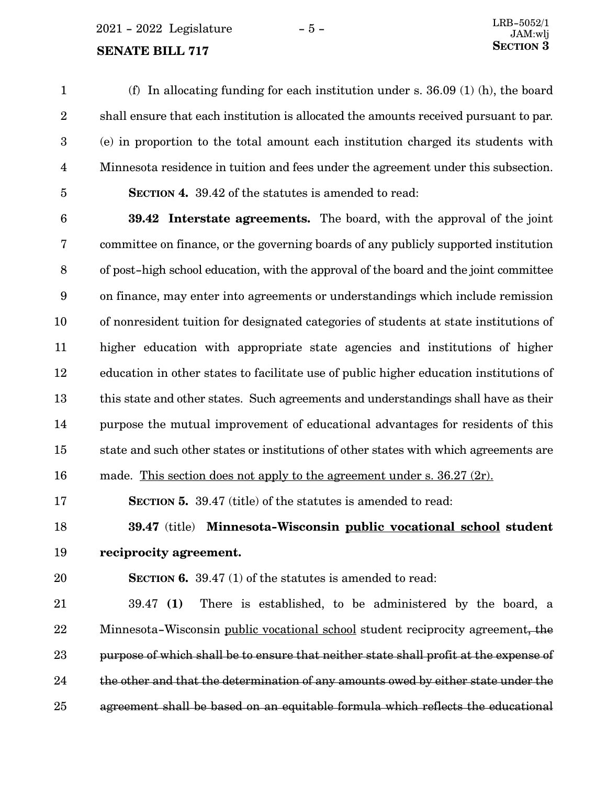$2021 - 2022$  Legislature  $-5 -$ 

## **SENATE BILL 717** SECTION 3

(f) In allocating funding for each institution under s. 36.09 (1) (h), the board shall ensure that each institution is allocated the amounts received pursuant to par. (e) in proportion to the total amount each institution charged its students with Minnesota residence in tuition and fees under the agreement under this subsection. 1 2 3 4 5

**SECTION 4.** 39.42 of the statutes is amended to read:

**39.42 Interstate agreements.** The board, with the approval of the joint committee on finance, or the governing boards of any publicly supported institution of post-high school education, with the approval of the board and the joint committee on finance, may enter into agreements or understandings which include remission of nonresident tuition for designated categories of students at state institutions of higher education with appropriate state agencies and institutions of higher education in other states to facilitate use of public higher education institutions of this state and other states. Such agreements and understandings shall have as their purpose the mutual improvement of educational advantages for residents of this state and such other states or institutions of other states with which agreements are 6 7 8 9 10 11 12 13 14 15

made. This section does not apply to the agreement under s. 36.27 (2r). 16

**SECTION 5.** 39.47 (title) of the statutes is amended to read: 17

**39.47** (title) **Minnesota-Wisconsin public vocational school student reciprocity agreement.** 18 19

20

**SECTION 6.** 39.47 (1) of the statutes is amended to read:

39.47 **(1)** There is established, to be administered by the board, a Minnesota-Wisconsin public vocational school student reciprocity agreement, the purpose of which shall be to ensure that neither state shall profit at the expense of the other and that the determination of any amounts owed by either state under the agreement shall be based on an equitable formula which reflects the educational 21 22 23 24 25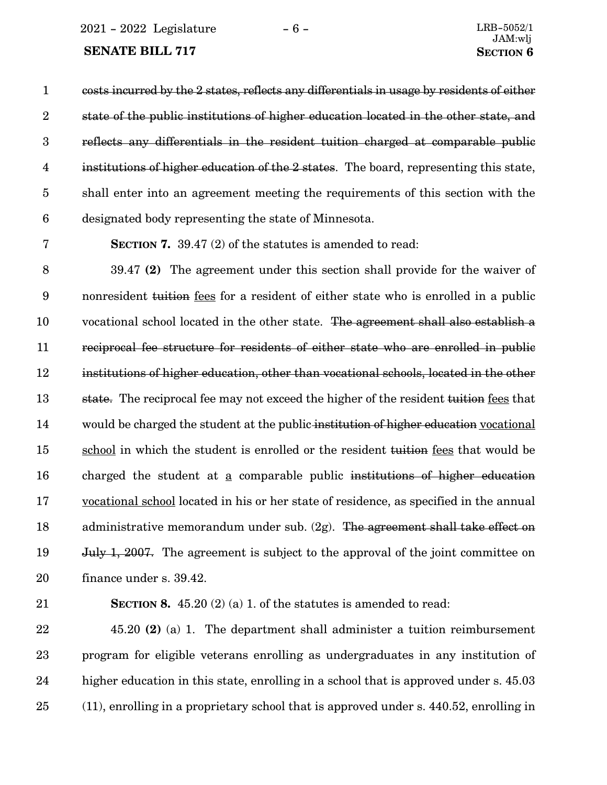2021 - 2022 Legislature - 6 - LRB-5052/1

#### **SENATE BILL 717 SECTION 6**

costs incurred by the 2 states, reflects any differentials in usage by residents of either state of the public institutions of higher education located in the other state, and reflects any differentials in the resident tuition charged at comparable public institutions of higher education of the 2 states. The board, representing this state, shall enter into an agreement meeting the requirements of this section with the designated body representing the state of Minnesota. 1 2 3 4 5 6

7

**SECTION 7.** 39.47 (2) of the statutes is amended to read:

39.47 **(2)** The agreement under this section shall provide for the waiver of nonresident tuition fees for a resident of either state who is enrolled in a public vocational school located in the other state. The agreement shall also establish a reciprocal fee structure for residents of either state who are enrolled in public institutions of higher education, other than vocational schools, located in the other state. The reciprocal fee may not exceed the higher of the resident tuition fees that would be charged the student at the public institution of higher education vocational school in which the student is enrolled or the resident tuition fees that would be charged the student at a comparable public institutions of higher education vocational school located in his or her state of residence, as specified in the annual administrative memorandum under sub. (2g). The agreement shall take effect on July 1, 2007. The agreement is subject to the approval of the joint committee on finance under s. 39.42. 8 9 10 11 12 13 14 15 16 17 18 19 20

21

**SECTION 8.** 45.20 (2) (a) 1. of the statutes is amended to read:

45.20 **(2)** (a) 1. The department shall administer a tuition reimbursement program for eligible veterans enrolling as undergraduates in any institution of higher education in this state, enrolling in a school that is approved under s. 45.03 (11), enrolling in a proprietary school that is approved under s. 440.52, enrolling in 22 23 24 25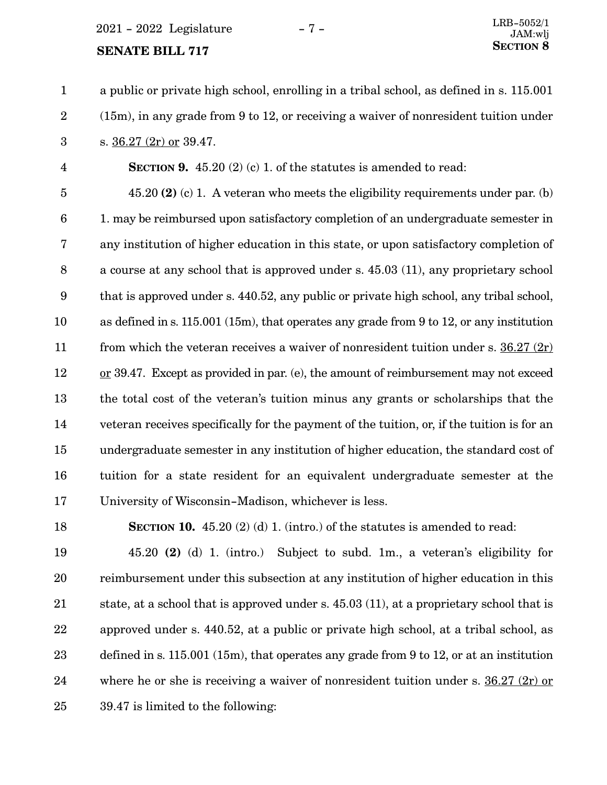$2021 - 2022$  Legislature  $-7 -$ 

### **SENATE BILL 717** SECTION 8

a public or private high school, enrolling in a tribal school, as defined in s. 115.001 (15m), in any grade from 9 to 12, or receiving a waiver of nonresident tuition under s.  $36.27$  (2r) or 39.47. 1 2 3

**SECTION 9.** 45.20 (2) (c) 1. of the statutes is amended to read: 4

45.20 **(2)** (c) 1. A veteran who meets the eligibility requirements under par. (b) 1. may be reimbursed upon satisfactory completion of an undergraduate semester in any institution of higher education in this state, or upon satisfactory completion of a course at any school that is approved under s. 45.03 (11), any proprietary school that is approved under s. 440.52, any public or private high school, any tribal school, as defined in s. 115.001 (15m), that operates any grade from 9 to 12, or any institution from which the veteran receives a waiver of nonresident tuition under s. 36.27 (2r) or 39.47. Except as provided in par. (e), the amount of reimbursement may not exceed the total cost of the veteran's tuition minus any grants or scholarships that the veteran receives specifically for the payment of the tuition, or, if the tuition is for an undergraduate semester in any institution of higher education, the standard cost of tuition for a state resident for an equivalent undergraduate semester at the University of Wisconsin-Madison, whichever is less. 5 6 7 8 9 10 11 12 13 14 15 16 17

18

**SECTION 10.**  $45.20$  (2) (d) 1. (intro.) of the statutes is amended to read:

45.20 **(2)** (d) 1. (intro.) Subject to subd. 1m., a veteran's eligibility for reimbursement under this subsection at any institution of higher education in this state, at a school that is approved under s. 45.03 (11), at a proprietary school that is approved under s. 440.52, at a public or private high school, at a tribal school, as defined in s. 115.001 (15m), that operates any grade from 9 to 12, or at an institution where he or she is receiving a waiver of nonresident tuition under s.  $36.27$  (2r) or 39.47 is limited to the following: 19 20 21 22 23 24 25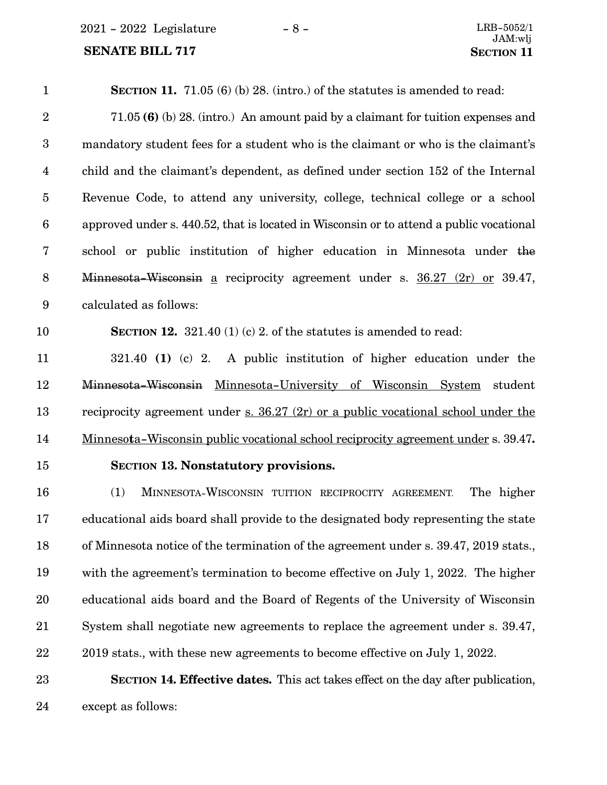2021 - 2022 Legislature - 8 - LRB-5052/1

### **SENATE BILL 717**

| $\mathbf{1}$     | <b>SECTION 11.</b> 71.05 (6) (b) 28. (intro.) of the statutes is amended to read:                |
|------------------|--------------------------------------------------------------------------------------------------|
| $\overline{2}$   | 71.05 (6) (b) 28. (intro.) An amount paid by a claimant for tuition expenses and                 |
| $\boldsymbol{3}$ | mandatory student fees for a student who is the claimant or who is the claimant's                |
| $\overline{4}$   | child and the claimant's dependent, as defined under section 152 of the Internal                 |
| $\bf 5$          | Revenue Code, to attend any university, college, technical college or a school                   |
| $\boldsymbol{6}$ | approved under s. 440.52, that is located in Wisconsin or to attend a public vocational          |
| 7                | school or public institution of higher education in Minnesota under the                          |
| 8                | Minnesota–Wisconsin a reciprocity agreement under s. $36.27$ (2r) or 39.47,                      |
| 9                | calculated as follows:                                                                           |
| 10               | <b>SECTION 12.</b> 321.40 (1) (c) 2. of the statutes is amended to read:                         |
| 11               | 321.40 (1) (c) 2. A public institution of higher education under the                             |
| 12               | Minnesota–Wisconsin Minnesota–University of Wisconsin System<br>student                          |
| 13               | reciprocity agreement under $\underline{s}$ . 36.27 (2r) or a public vocational school under the |
| 14               | <u>Minnesota-Wisconsin public vocational school reciprocity agreement under</u> s. 39.47.        |
| 15               | <b>SECTION 13. Nonstatutory provisions.</b>                                                      |
| 16               | (1)<br>MINNESOTA-WISCONSIN TUITION RECIPROCITY AGREEMENT.<br>The higher                          |
| 17               | educational aids board shall provide to the designated body representing the state               |
| 18               | of Minnesota notice of the termination of the agreement under s. 39.47, 2019 stats.,             |
| 19               | with the agreement's termination to become effective on July 1, 2022. The higher                 |
| 20               | educational aids board and the Board of Regents of the University of Wisconsin                   |
| 21               | System shall negotiate new agreements to replace the agreement under s. 39.47,                   |
| 22               | 2019 stats., with these new agreements to become effective on July 1, 2022.                      |
| 23               | <b>SECTION 14. Effective dates.</b> This act takes effect on the day after publication,          |
|                  |                                                                                                  |

except as follows: 24